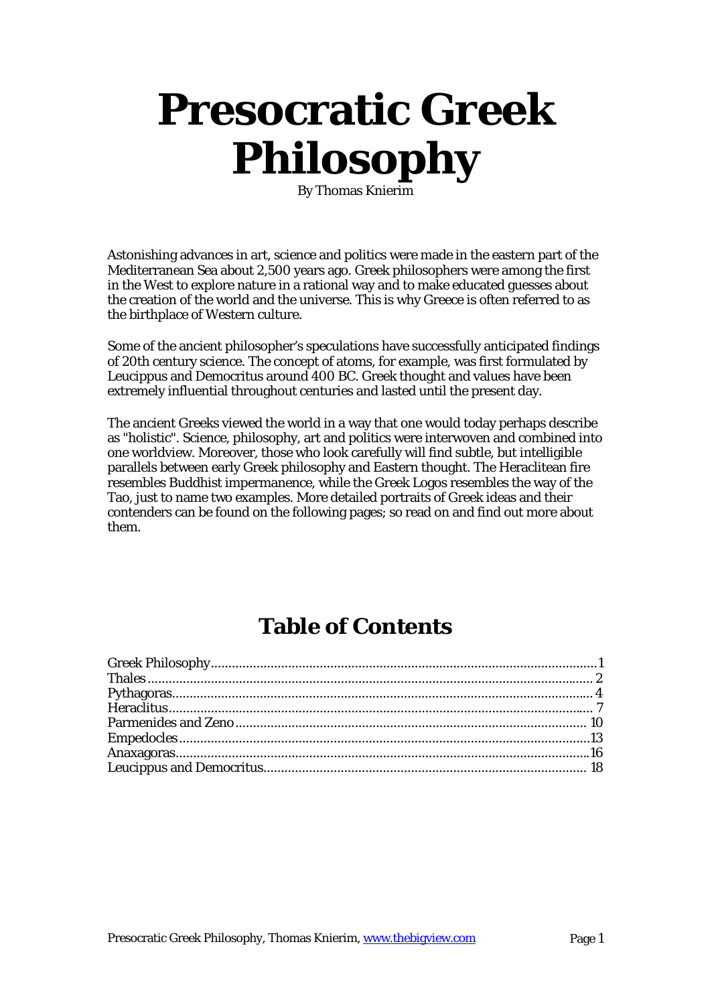# **Presocratic Greek Philosophy**

By Thomas Knierim

Astonishing advances in art, science and politics were made in the eastern part of the Mediterranean Sea about 2,500 years ago. Greek philosophers were among the first in the West to explore nature in a rational way and to make educated guesses about the creation of the world and the universe. This is why Greece is often referred to as the birthplace of Western culture.

Some of the ancient philosopher's speculations have successfully anticipated findings of 20th century science. The concept of atoms, for example, was first formulated by Leucippus and Democritus around 400 BC. Greek thought and values have been extremely influential throughout centuries and lasted until the present day.

The ancient Greeks viewed the world in a way that one would today perhaps describe as "holistic". Science, philosophy, art and politics were interwoven and combined into one worldview. Moreover, those who look carefully will find subtle, but intelligible parallels between early Greek philosophy and Eastern thought. The Heraclitean fire resembles Buddhist impermanence, while the Greek Logos resembles the way of the Tao, just to name two examples. More detailed portraits of Greek ideas and their contenders can be found on the following pages; so read on and find out more about them.

# **Table of Contents**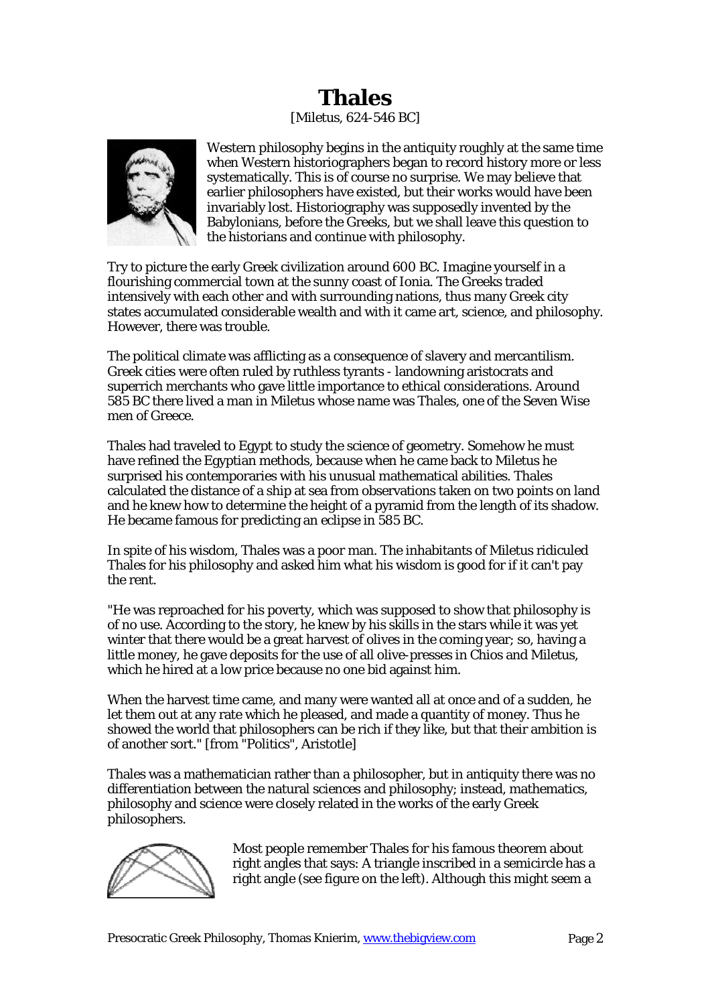#### **Thales**  [Miletus, 624-546 BC]



Western philosophy begins in the antiquity roughly at the same time when Western historiographers began to record history more or less systematically. This is of course no surprise. We may believe that earlier philosophers have existed, but their works would have been invariably lost. Historiography was supposedly invented by the Babylonians, before the Greeks, but we shall leave this question to the historians and continue with philosophy.

Try to picture the early Greek civilization around 600 BC. Imagine yourself in a flourishing commercial town at the sunny coast of Ionia. The Greeks traded intensively with each other and with surrounding nations, thus many Greek city states accumulated considerable wealth and with it came art, science, and philosophy. However, there was trouble.

The political climate was afflicting as a consequence of slavery and mercantilism. Greek cities were often ruled by ruthless tyrants - landowning aristocrats and superrich merchants who gave little importance to ethical considerations. Around 585 BC there lived a man in Miletus whose name was Thales, one of the Seven Wise men of Greece.

Thales had traveled to Egypt to study the science of geometry. Somehow he must have refined the Egyptian methods, because when he came back to Miletus he surprised his contemporaries with his unusual mathematical abilities. Thales calculated the distance of a ship at sea from observations taken on two points on land and he knew how to determine the height of a pyramid from the length of its shadow. He became famous for predicting an eclipse in 585 BC.

In spite of his wisdom, Thales was a poor man. The inhabitants of Miletus ridiculed Thales for his philosophy and asked him what his wisdom is good for if it can't pay the rent.

"He was reproached for his poverty, which was supposed to show that philosophy is of no use. According to the story, he knew by his skills in the stars while it was yet winter that there would be a great harvest of olives in the coming year; so, having a little money, he gave deposits for the use of all olive-presses in Chios and Miletus, which he hired at a low price because no one bid against him.

When the harvest time came, and many were wanted all at once and of a sudden, he let them out at any rate which he pleased, and made a quantity of money. Thus he showed the world that philosophers can be rich if they like, but that their ambition is of another sort." [from "Politics", Aristotle]

Thales was a mathematician rather than a philosopher, but in antiquity there was no differentiation between the natural sciences and philosophy; instead, mathematics, philosophy and science were closely related in the works of the early Greek philosophers.



Most people remember Thales for his famous theorem about right angles that says: A triangle inscribed in a semicircle has a right angle (see figure on the left). Although this might seem a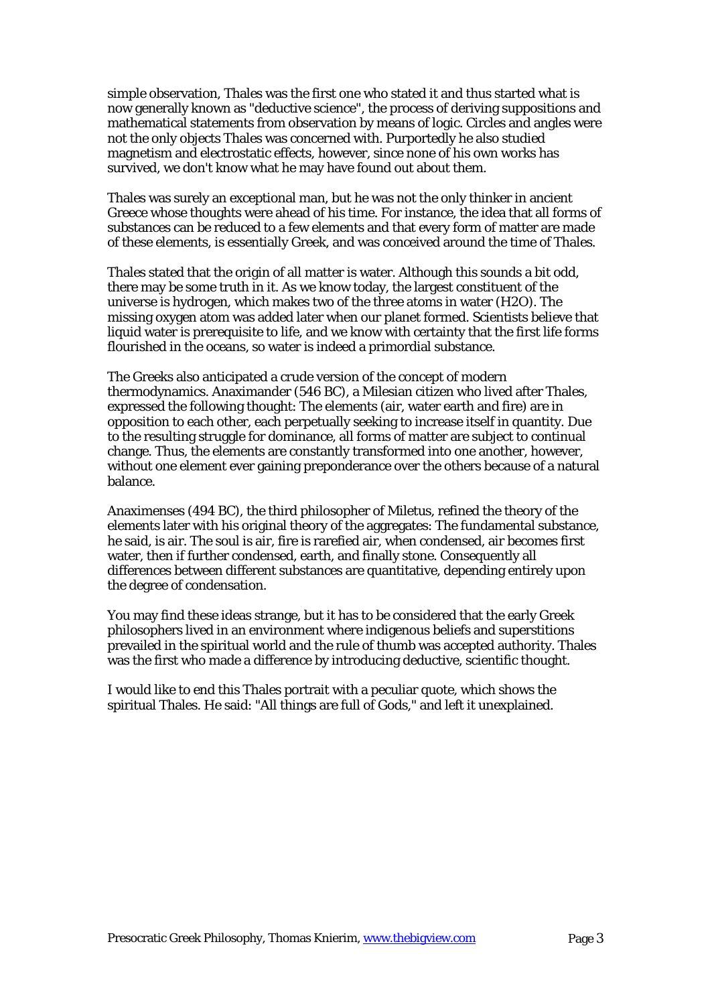simple observation, Thales was the first one who stated it and thus started what is now generally known as "deductive science", the process of deriving suppositions and mathematical statements from observation by means of logic. Circles and angles were not the only objects Thales was concerned with. Purportedly he also studied magnetism and electrostatic effects, however, since none of his own works has survived, we don't know what he may have found out about them.

Thales was surely an exceptional man, but he was not the only thinker in ancient Greece whose thoughts were ahead of his time. For instance, the idea that all forms of substances can be reduced to a few elements and that every form of matter are made of these elements, is essentially Greek, and was conceived around the time of Thales.

Thales stated that the origin of all matter is water. Although this sounds a bit odd, there may be some truth in it. As we know today, the largest constituent of the universe is hydrogen, which makes two of the three atoms in water (H2O). The missing oxygen atom was added later when our planet formed. Scientists believe that liquid water is prerequisite to life, and we know with certainty that the first life forms flourished in the oceans, so water is indeed a primordial substance.

The Greeks also anticipated a crude version of the concept of modern thermodynamics. Anaximander (546 BC), a Milesian citizen who lived after Thales, expressed the following thought: The elements (air, water earth and fire) are in opposition to each other, each perpetually seeking to increase itself in quantity. Due to the resulting struggle for dominance, all forms of matter are subject to continual change. Thus, the elements are constantly transformed into one another, however, without one element ever gaining preponderance over the others because of a natural balance.

Anaximenses (494 BC), the third philosopher of Miletus, refined the theory of the elements later with his original theory of the aggregates: The fundamental substance, he said, is air. The soul is air, fire is rarefied air, when condensed, air becomes first water, then if further condensed, earth, and finally stone. Consequently all differences between different substances are quantitative, depending entirely upon the degree of condensation.

You may find these ideas strange, but it has to be considered that the early Greek philosophers lived in an environment where indigenous beliefs and superstitions prevailed in the spiritual world and the rule of thumb was accepted authority. Thales was the first who made a difference by introducing deductive, scientific thought.

I would like to end this Thales portrait with a peculiar quote, which shows the spiritual Thales. He said: "All things are full of Gods," and left it unexplained.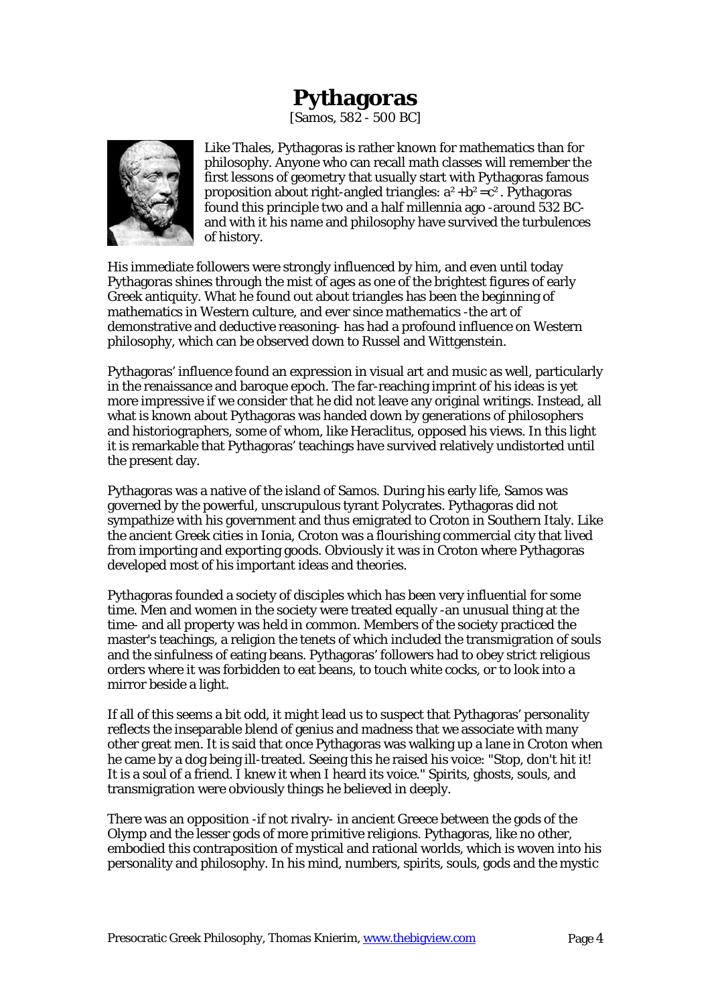## **Pythagoras**

[Samos, 582 - 500 BC]



Like Thales, Pythagoras is rather known for mathematics than for philosophy. Anyone who can recall math classes will remember the first lessons of geometry that usually start with Pythagoras famous proposition about right-angled triangles:  $a^2+b^2=c^2$ . Pythagoras found this principle two and a half millennia ago -around 532 BCand with it his name and philosophy have survived the turbulences of history.

His immediate followers were strongly influenced by him, and even until today Pythagoras shines through the mist of ages as one of the brightest figures of early Greek antiquity. What he found out about triangles has been the beginning of mathematics in Western culture, and ever since mathematics -the art of demonstrative and deductive reasoning- has had a profound influence on Western philosophy, which can be observed down to Russel and Wittgenstein.

Pythagoras' influence found an expression in visual art and music as well, particularly in the renaissance and baroque epoch. The far-reaching imprint of his ideas is yet more impressive if we consider that he did not leave any original writings. Instead, all what is known about Pythagoras was handed down by generations of philosophers and historiographers, some of whom, like Heraclitus, opposed his views. In this light it is remarkable that Pythagoras' teachings have survived relatively undistorted until the present day.

Pythagoras was a native of the island of Samos. During his early life, Samos was governed by the powerful, unscrupulous tyrant Polycrates. Pythagoras did not sympathize with his government and thus emigrated to Croton in Southern Italy. Like the ancient Greek cities in Ionia, Croton was a flourishing commercial city that lived from importing and exporting goods. Obviously it was in Croton where Pythagoras developed most of his important ideas and theories.

Pythagoras founded a society of disciples which has been very influential for some time. Men and women in the society were treated equally -an unusual thing at the time- and all property was held in common. Members of the society practiced the master's teachings, a religion the tenets of which included the transmigration of souls and the sinfulness of eating beans. Pythagoras' followers had to obey strict religious orders where it was forbidden to eat beans, to touch white cocks, or to look into a mirror beside a light.

If all of this seems a bit odd, it might lead us to suspect that Pythagoras' personality reflects the inseparable blend of genius and madness that we associate with many other great men. It is said that once Pythagoras was walking up a lane in Croton when he came by a dog being ill-treated. Seeing this he raised his voice: "Stop, don't hit it! It is a soul of a friend. I knew it when I heard its voice." Spirits, ghosts, souls, and transmigration were obviously things he believed in deeply.

There was an opposition -if not rivalry- in ancient Greece between the gods of the Olymp and the lesser gods of more primitive religions. Pythagoras, like no other, embodied this contraposition of mystical and rational worlds, which is woven into his personality and philosophy. In his mind, numbers, spirits, souls, gods and the mystic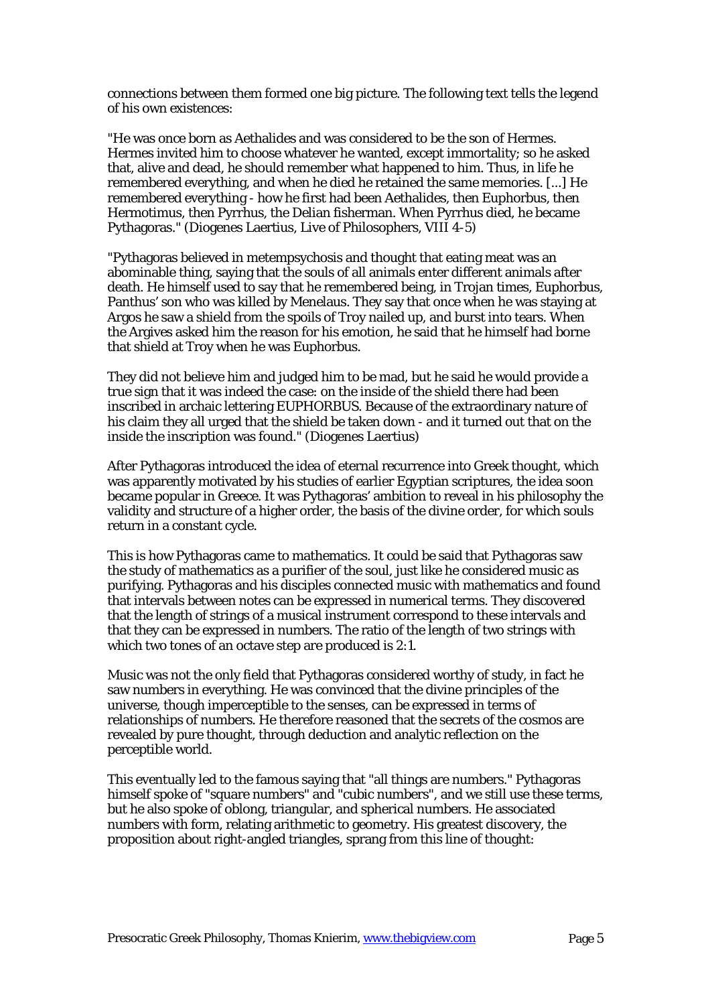connections between them formed one big picture. The following text tells the legend of his own existences:

"He was once born as Aethalides and was considered to be the son of Hermes. Hermes invited him to choose whatever he wanted, except immortality; so he asked that, alive and dead, he should remember what happened to him. Thus, in life he remembered everything, and when he died he retained the same memories. [...] He remembered everything - how he first had been Aethalides, then Euphorbus, then Hermotimus, then Pyrrhus, the Delian fisherman. When Pyrrhus died, he became Pythagoras." (Diogenes Laertius, Live of Philosophers, VIII 4-5)

"Pythagoras believed in metempsychosis and thought that eating meat was an abominable thing, saying that the souls of all animals enter different animals after death. He himself used to say that he remembered being, in Trojan times, Euphorbus, Panthus' son who was killed by Menelaus. They say that once when he was staying at Argos he saw a shield from the spoils of Troy nailed up, and burst into tears. When the Argives asked him the reason for his emotion, he said that he himself had borne that shield at Troy when he was Euphorbus.

They did not believe him and judged him to be mad, but he said he would provide a true sign that it was indeed the case: on the inside of the shield there had been inscribed in archaic lettering EUPHORBUS. Because of the extraordinary nature of his claim they all urged that the shield be taken down - and it turned out that on the inside the inscription was found." (Diogenes Laertius)

After Pythagoras introduced the idea of eternal recurrence into Greek thought, which was apparently motivated by his studies of earlier Egyptian scriptures, the idea soon became popular in Greece. It was Pythagoras' ambition to reveal in his philosophy the validity and structure of a higher order, the basis of the divine order, for which souls return in a constant cycle.

This is how Pythagoras came to mathematics. It could be said that Pythagoras saw the study of mathematics as a purifier of the soul, just like he considered music as purifying. Pythagoras and his disciples connected music with mathematics and found that intervals between notes can be expressed in numerical terms. They discovered that the length of strings of a musical instrument correspond to these intervals and that they can be expressed in numbers. The ratio of the length of two strings with which two tones of an octave step are produced is 2:1.

Music was not the only field that Pythagoras considered worthy of study, in fact he saw numbers in everything. He was convinced that the divine principles of the universe, though imperceptible to the senses, can be expressed in terms of relationships of numbers. He therefore reasoned that the secrets of the cosmos are revealed by pure thought, through deduction and analytic reflection on the perceptible world.

This eventually led to the famous saying that "all things are numbers." Pythagoras himself spoke of "square numbers" and "cubic numbers", and we still use these terms, but he also spoke of oblong, triangular, and spherical numbers. He associated numbers with form, relating arithmetic to geometry. His greatest discovery, the proposition about right-angled triangles, sprang from this line of thought: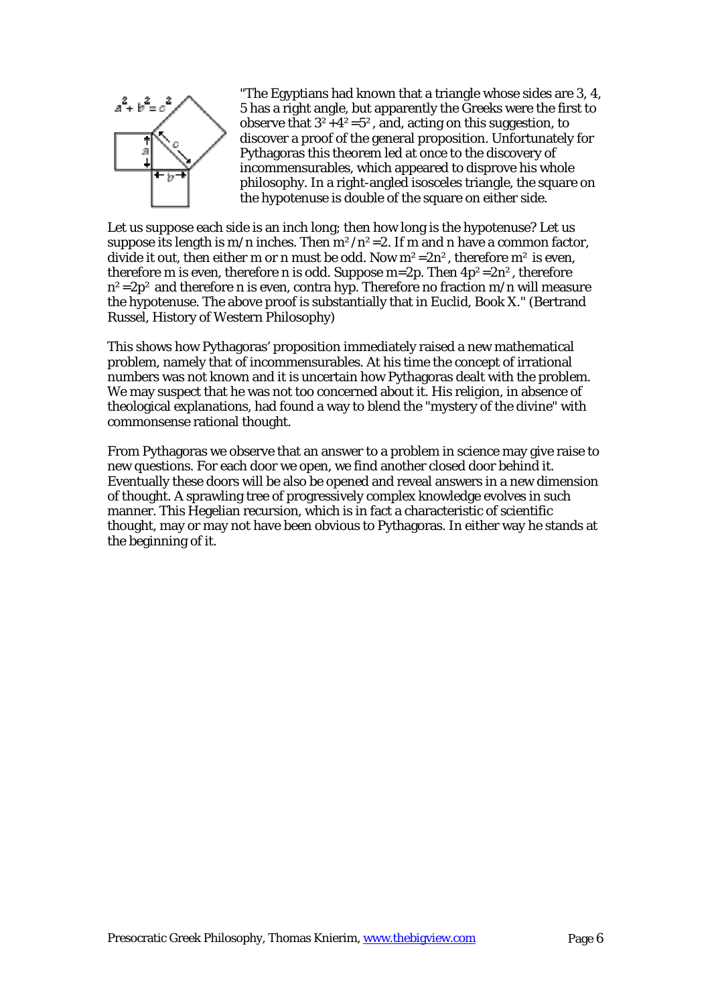

"The Egyptians had known that a triangle whose sides are 3, 4, 5 has a right angle, but apparently the Greeks were the first to observe that  $3^2+4^2=5^2$ , and, acting on this suggestion, to discover a proof of the general proposition. Unfortunately for Pythagoras this theorem led at once to the discovery of incommensurables, which appeared to disprove his whole philosophy. In a right-angled isosceles triangle, the square on the hypotenuse is double of the square on either side.

Let us suppose each side is an inch long; then how long is the hypotenuse? Let us suppose its length is m/n inches. Then  $m^2/n^2 = 2$ . If m and n have a common factor, divide it out, then either m or n must be odd. Now  $m^2=2n^2$ , therefore  $m^2$  is even, therefore m is even, therefore n is odd. Suppose m=2p. Then  $4p^2=2n^2$ , therefore  $n^2=2p^2$  and therefore n is even, contra hyp. Therefore no fraction m/n will measure the hypotenuse. The above proof is substantially that in Euclid, Book X." (Bertrand Russel, History of Western Philosophy)

This shows how Pythagoras' proposition immediately raised a new mathematical problem, namely that of incommensurables. At his time the concept of irrational numbers was not known and it is uncertain how Pythagoras dealt with the problem. We may suspect that he was not too concerned about it. His religion, in absence of theological explanations, had found a way to blend the "mystery of the divine" with commonsense rational thought.

From Pythagoras we observe that an answer to a problem in science may give raise to new questions. For each door we open, we find another closed door behind it. Eventually these doors will be also be opened and reveal answers in a new dimension of thought. A sprawling tree of progressively complex knowledge evolves in such manner. This Hegelian recursion, which is in fact a characteristic of scientific thought, may or may not have been obvious to Pythagoras. In either way he stands at the beginning of it.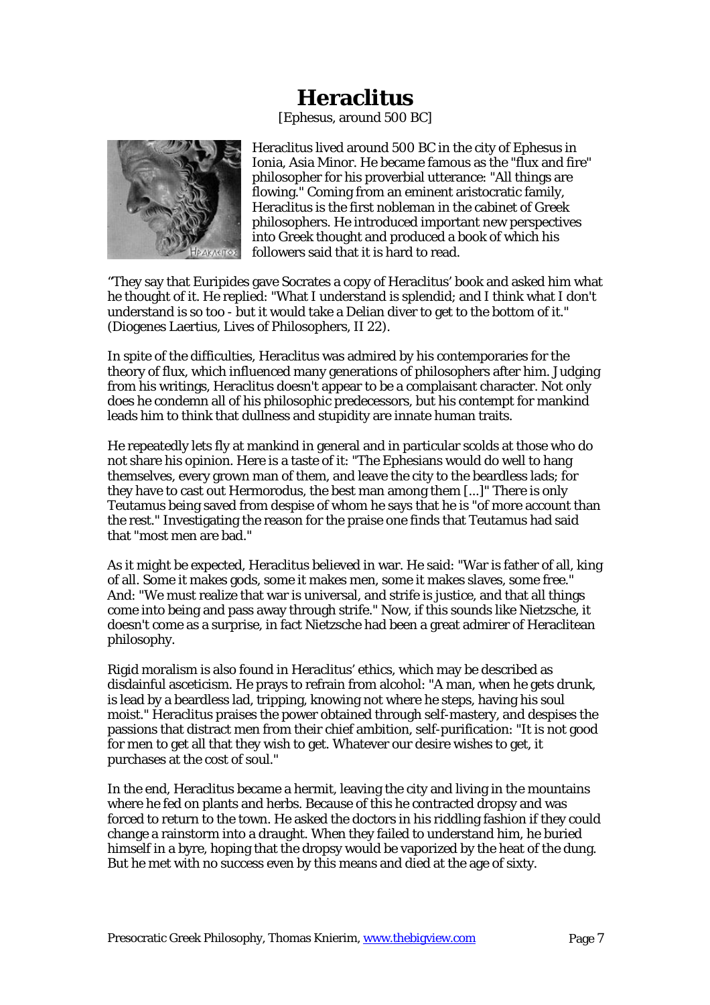## **Heraclitus**

[Ephesus, around 500 BC]



Heraclitus lived around 500 BC in the city of Ephesus in Ionia, Asia Minor. He became famous as the "flux and fire" philosopher for his proverbial utterance: "All things are flowing." Coming from an eminent aristocratic family, Heraclitus is the first nobleman in the cabinet of Greek philosophers. He introduced important new perspectives into Greek thought and produced a book of which his followers said that it is hard to read.

"They say that Euripides gave Socrates a copy of Heraclitus' book and asked him what he thought of it. He replied: "What I understand is splendid; and I think what I don't understand is so too - but it would take a Delian diver to get to the bottom of it." (Diogenes Laertius, Lives of Philosophers, II 22).

In spite of the difficulties, Heraclitus was admired by his contemporaries for the theory of flux, which influenced many generations of philosophers after him. Judging from his writings, Heraclitus doesn't appear to be a complaisant character. Not only does he condemn all of his philosophic predecessors, but his contempt for mankind leads him to think that dullness and stupidity are innate human traits.

He repeatedly lets fly at mankind in general and in particular scolds at those who do not share his opinion. Here is a taste of it: "The Ephesians would do well to hang themselves, every grown man of them, and leave the city to the beardless lads; for they have to cast out Hermorodus, the best man among them [...]" There is only Teutamus being saved from despise of whom he says that he is "of more account than the rest." Investigating the reason for the praise one finds that Teutamus had said that "most men are bad."

As it might be expected, Heraclitus believed in war. He said: "War is father of all, king of all. Some it makes gods, some it makes men, some it makes slaves, some free." And: "We must realize that war is universal, and strife is justice, and that all things come into being and pass away through strife." Now, if this sounds like Nietzsche, it doesn't come as a surprise, in fact Nietzsche had been a great admirer of Heraclitean philosophy.

Rigid moralism is also found in Heraclitus' ethics, which may be described as disdainful asceticism. He prays to refrain from alcohol: "A man, when he gets drunk, is lead by a beardless lad, tripping, knowing not where he steps, having his soul moist." Heraclitus praises the power obtained through self-mastery, and despises the passions that distract men from their chief ambition, self-purification: "It is not good for men to get all that they wish to get. Whatever our desire wishes to get, it purchases at the cost of soul."

In the end, Heraclitus became a hermit, leaving the city and living in the mountains where he fed on plants and herbs. Because of this he contracted dropsy and was forced to return to the town. He asked the doctors in his riddling fashion if they could change a rainstorm into a draught. When they failed to understand him, he buried himself in a byre, hoping that the dropsy would be vaporized by the heat of the dung. But he met with no success even by this means and died at the age of sixty.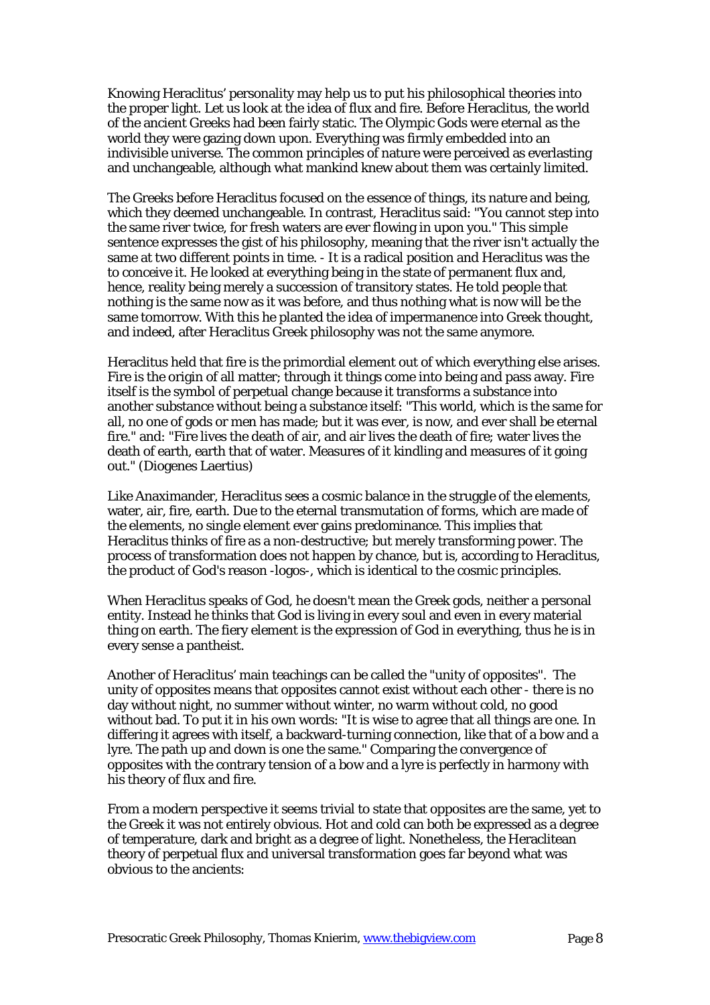Knowing Heraclitus' personality may help us to put his philosophical theories into the proper light. Let us look at the idea of flux and fire. Before Heraclitus, the world of the ancient Greeks had been fairly static. The Olympic Gods were eternal as the world they were gazing down upon. Everything was firmly embedded into an indivisible universe. The common principles of nature were perceived as everlasting and unchangeable, although what mankind knew about them was certainly limited.

The Greeks before Heraclitus focused on the essence of things, its nature and being, which they deemed unchangeable. In contrast, Heraclitus said: "You cannot step into the same river twice, for fresh waters are ever flowing in upon you." This simple sentence expresses the gist of his philosophy, meaning that the river isn't actually the same at two different points in time. - It is a radical position and Heraclitus was the to conceive it. He looked at everything being in the state of permanent flux and, hence, reality being merely a succession of transitory states. He told people that nothing is the same now as it was before, and thus nothing what is now will be the same tomorrow. With this he planted the idea of impermanence into Greek thought, and indeed, after Heraclitus Greek philosophy was not the same anymore.

Heraclitus held that fire is the primordial element out of which everything else arises. Fire is the origin of all matter; through it things come into being and pass away. Fire itself is the symbol of perpetual change because it transforms a substance into another substance without being a substance itself: "This world, which is the same for all, no one of gods or men has made; but it was ever, is now, and ever shall be eternal fire." and: "Fire lives the death of air, and air lives the death of fire; water lives the death of earth, earth that of water. Measures of it kindling and measures of it going out." (Diogenes Laertius)

Like Anaximander, Heraclitus sees a cosmic balance in the struggle of the elements, water, air, fire, earth. Due to the eternal transmutation of forms, which are made of the elements, no single element ever gains predominance. This implies that Heraclitus thinks of fire as a non-destructive; but merely transforming power. The process of transformation does not happen by chance, but is, according to Heraclitus, the product of God's reason -logos-, which is identical to the cosmic principles.

When Heraclitus speaks of God, he doesn't mean the Greek gods, neither a personal entity. Instead he thinks that God is living in every soul and even in every material thing on earth. The fiery element is the expression of God in everything, thus he is in every sense a pantheist.

Another of Heraclitus' main teachings can be called the "unity of opposites". The unity of opposites means that opposites cannot exist without each other - there is no day without night, no summer without winter, no warm without cold, no good without bad. To put it in his own words: "It is wise to agree that all things are one. In differing it agrees with itself, a backward-turning connection, like that of a bow and a lyre. The path up and down is one the same." Comparing the convergence of opposites with the contrary tension of a bow and a lyre is perfectly in harmony with his theory of flux and fire.

From a modern perspective it seems trivial to state that opposites are the same, yet to the Greek it was not entirely obvious. Hot and cold can both be expressed as a degree of temperature, dark and bright as a degree of light. Nonetheless, the Heraclitean theory of perpetual flux and universal transformation goes far beyond what was obvious to the ancients: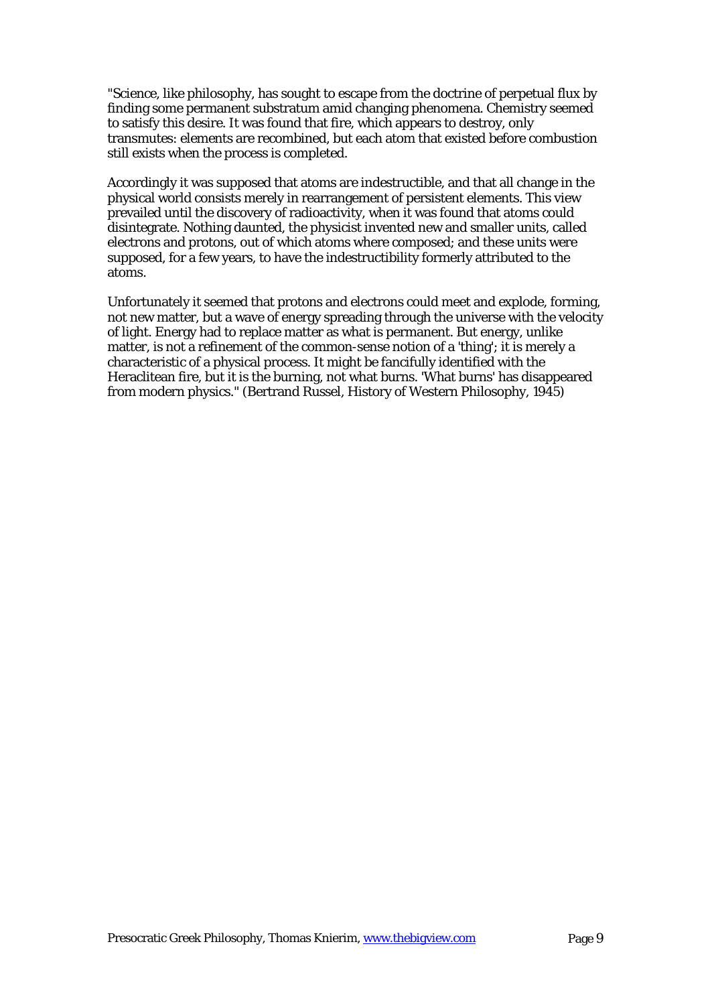"Science, like philosophy, has sought to escape from the doctrine of perpetual flux by finding some permanent substratum amid changing phenomena. Chemistry seemed to satisfy this desire. It was found that fire, which appears to destroy, only transmutes: elements are recombined, but each atom that existed before combustion still exists when the process is completed.

Accordingly it was supposed that atoms are indestructible, and that all change in the physical world consists merely in rearrangement of persistent elements. This view prevailed until the discovery of radioactivity, when it was found that atoms could disintegrate. Nothing daunted, the physicist invented new and smaller units, called electrons and protons, out of which atoms where composed; and these units were supposed, for a few years, to have the indestructibility formerly attributed to the atoms.

Unfortunately it seemed that protons and electrons could meet and explode, forming, not new matter, but a wave of energy spreading through the universe with the velocity of light. Energy had to replace matter as what is permanent. But energy, unlike matter, is not a refinement of the common-sense notion of a 'thing'; it is merely a characteristic of a physical process. It might be fancifully identified with the Heraclitean fire, but it is the burning, not what burns. 'What burns' has disappeared from modern physics." (Bertrand Russel, History of Western Philosophy, 1945)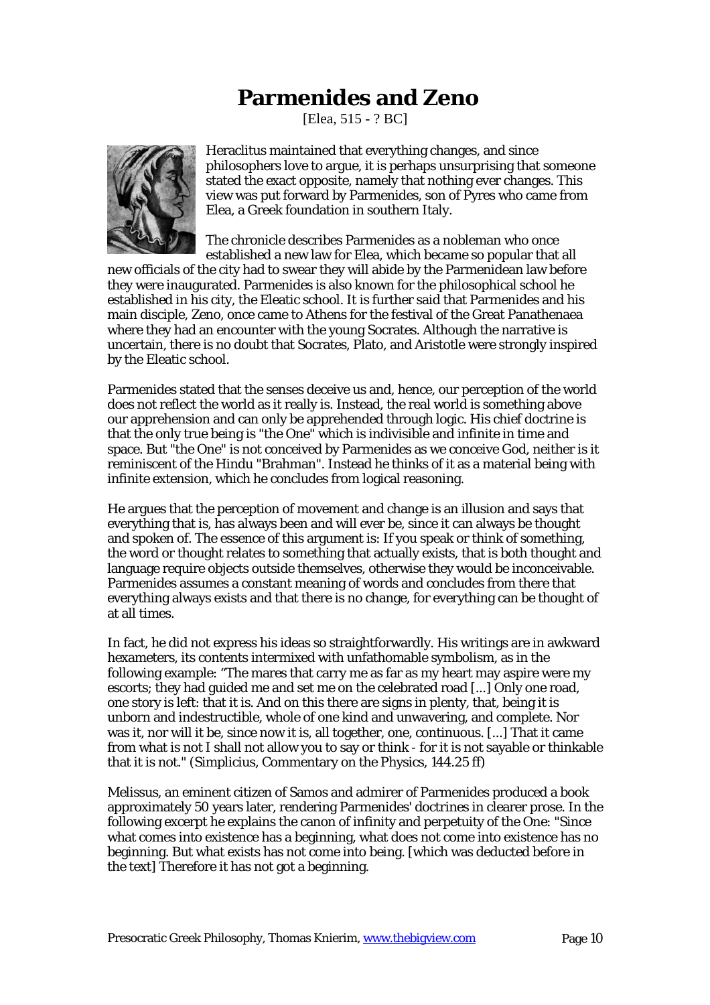# **Parmenides and Zeno**

[Elea, 515 - ? BC]



Heraclitus maintained that everything changes, and since philosophers love to argue, it is perhaps unsurprising that someone stated the exact opposite, namely that nothing ever changes. This view was put forward by Parmenides, son of Pyres who came from Elea, a Greek foundation in southern Italy.

The chronicle describes Parmenides as a nobleman who once established a new law for Elea, which became so popular that all

new officials of the city had to swear they will abide by the Parmenidean law before they were inaugurated. Parmenides is also known for the philosophical school he established in his city, the Eleatic school. It is further said that Parmenides and his main disciple, Zeno, once came to Athens for the festival of the Great Panathenaea where they had an encounter with the young Socrates. Although the narrative is uncertain, there is no doubt that Socrates, Plato, and Aristotle were strongly inspired by the Eleatic school.

Parmenides stated that the senses deceive us and, hence, our perception of the world does not reflect the world as it really is. Instead, the real world is something above our apprehension and can only be apprehended through logic. His chief doctrine is that the only true being is "the One" which is indivisible and infinite in time and space. But "the One" is not conceived by Parmenides as we conceive God, neither is it reminiscent of the Hindu "Brahman". Instead he thinks of it as a material being with infinite extension, which he concludes from logical reasoning.

He argues that the perception of movement and change is an illusion and says that everything that is, has always been and will ever be, since it can always be thought and spoken of. The essence of this argument is: If you speak or think of something, the word or thought relates to something that actually exists, that is both thought and language require objects outside themselves, otherwise they would be inconceivable. Parmenides assumes a constant meaning of words and concludes from there that everything always exists and that there is no change, for everything can be thought of at all times.

In fact, he did not express his ideas so straightforwardly. His writings are in awkward hexameters, its contents intermixed with unfathomable symbolism, as in the following example: "The mares that carry me as far as my heart may aspire were my escorts; they had guided me and set me on the celebrated road [...] Only one road, one story is left: that it is. And on this there are signs in plenty, that, being it is unborn and indestructible, whole of one kind and unwavering, and complete. Nor was it, nor will it be, since now it is, all together, one, continuous. [...] That it came from what is not I shall not allow you to say or think - for it is not sayable or thinkable that it is not." (Simplicius, Commentary on the Physics, 144.25 ff)

Melissus, an eminent citizen of Samos and admirer of Parmenides produced a book approximately 50 years later, rendering Parmenides' doctrines in clearer prose. In the following excerpt he explains the canon of infinity and perpetuity of the One: "Since what comes into existence has a beginning, what does not come into existence has no beginning. But what exists has not come into being. [which was deducted before in the text] Therefore it has not got a beginning.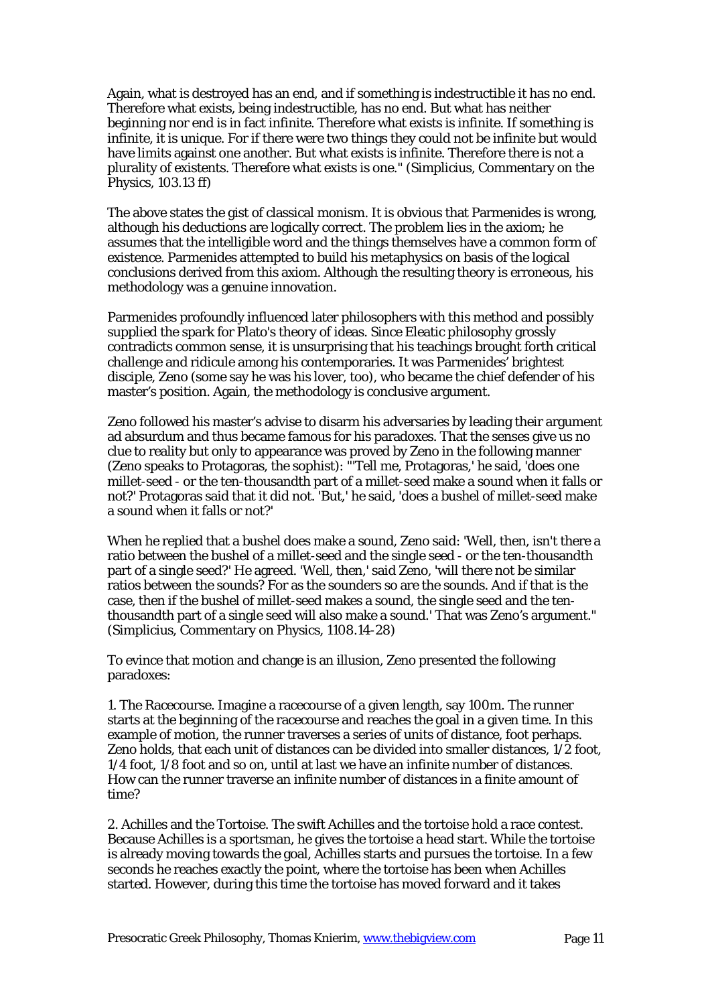Again, what is destroyed has an end, and if something is indestructible it has no end. Therefore what exists, being indestructible, has no end. But what has neither beginning nor end is in fact infinite. Therefore what exists is infinite. If something is infinite, it is unique. For if there were two things they could not be infinite but would have limits against one another. But what exists is infinite. Therefore there is not a plurality of existents. Therefore what exists is one." (Simplicius, Commentary on the Physics, 103.13 ff)

The above states the gist of classical monism. It is obvious that Parmenides is wrong, although his deductions are logically correct. The problem lies in the axiom; he assumes that the intelligible word and the things themselves have a common form of existence. Parmenides attempted to build his metaphysics on basis of the logical conclusions derived from this axiom. Although the resulting theory is erroneous, his methodology was a genuine innovation.

Parmenides profoundly influenced later philosophers with this method and possibly supplied the spark for Plato's theory of ideas. Since Eleatic philosophy grossly contradicts common sense, it is unsurprising that his teachings brought forth critical challenge and ridicule among his contemporaries. It was Parmenides' brightest disciple, Zeno (some say he was his lover, too), who became the chief defender of his master's position. Again, the methodology is conclusive argument.

Zeno followed his master's advise to disarm his adversaries by leading their argument ad absurdum and thus became famous for his paradoxes. That the senses give us no clue to reality but only to appearance was proved by Zeno in the following manner (Zeno speaks to Protagoras, the sophist): "'Tell me, Protagoras,' he said, 'does one millet-seed - or the ten-thousandth part of a millet-seed make a sound when it falls or not?' Protagoras said that it did not. 'But,' he said, 'does a bushel of millet-seed make a sound when it falls or not?'

When he replied that a bushel does make a sound, Zeno said: 'Well, then, isn't there a ratio between the bushel of a millet-seed and the single seed - or the ten-thousandth part of a single seed?' He agreed. 'Well, then,' said Zeno, 'will there not be similar ratios between the sounds? For as the sounders so are the sounds. And if that is the case, then if the bushel of millet-seed makes a sound, the single seed and the tenthousandth part of a single seed will also make a sound.' That was Zeno's argument." (Simplicius, Commentary on Physics, 1108.14-28)

To evince that motion and change is an illusion, Zeno presented the following paradoxes:

1. The Racecourse. Imagine a racecourse of a given length, say 100m. The runner starts at the beginning of the racecourse and reaches the goal in a given time. In this example of motion, the runner traverses a series of units of distance, foot perhaps. Zeno holds, that each unit of distances can be divided into smaller distances, 1/2 foot, 1/4 foot, 1/8 foot and so on, until at last we have an infinite number of distances. How can the runner traverse an infinite number of distances in a finite amount of time?

2. Achilles and the Tortoise. The swift Achilles and the tortoise hold a race contest. Because Achilles is a sportsman, he gives the tortoise a head start. While the tortoise is already moving towards the goal, Achilles starts and pursues the tortoise. In a few seconds he reaches exactly the point, where the tortoise has been when Achilles started. However, during this time the tortoise has moved forward and it takes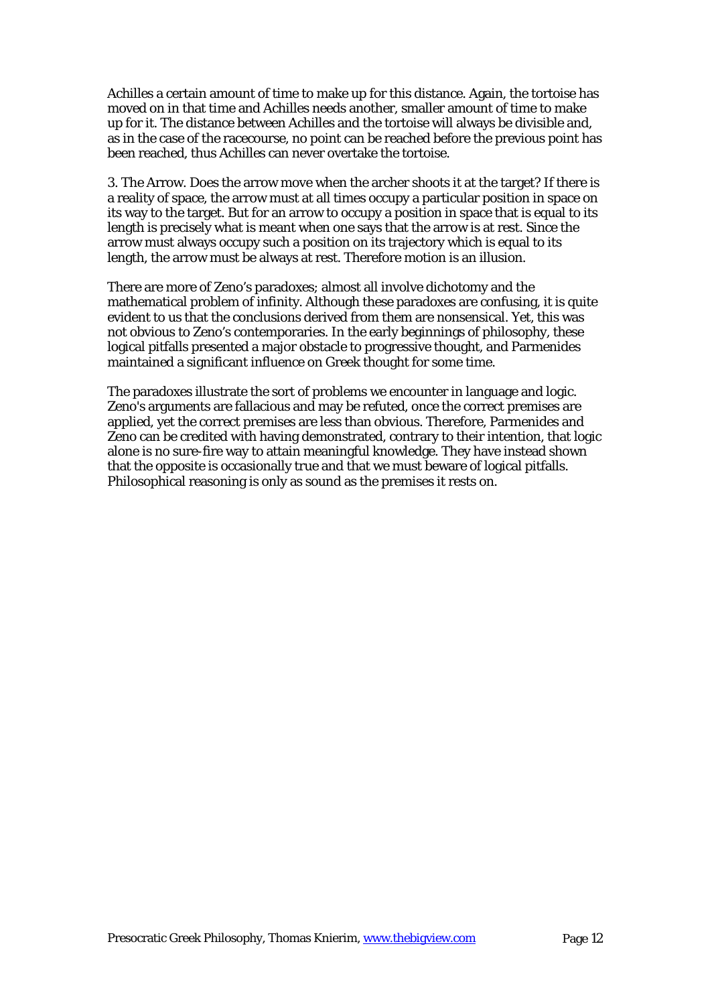Achilles a certain amount of time to make up for this distance. Again, the tortoise has moved on in that time and Achilles needs another, smaller amount of time to make up for it. The distance between Achilles and the tortoise will always be divisible and, as in the case of the racecourse, no point can be reached before the previous point has been reached, thus Achilles can never overtake the tortoise.

3. The Arrow. Does the arrow move when the archer shoots it at the target? If there is a reality of space, the arrow must at all times occupy a particular position in space on its way to the target. But for an arrow to occupy a position in space that is equal to its length is precisely what is meant when one says that the arrow is at rest. Since the arrow must always occupy such a position on its trajectory which is equal to its length, the arrow must be always at rest. Therefore motion is an illusion.

There are more of Zeno's paradoxes; almost all involve dichotomy and the mathematical problem of infinity. Although these paradoxes are confusing, it is quite evident to us that the conclusions derived from them are nonsensical. Yet, this was not obvious to Zeno's contemporaries. In the early beginnings of philosophy, these logical pitfalls presented a major obstacle to progressive thought, and Parmenides maintained a significant influence on Greek thought for some time.

The paradoxes illustrate the sort of problems we encounter in language and logic. Zeno's arguments are fallacious and may be refuted, once the correct premises are applied, yet the correct premises are less than obvious. Therefore, Parmenides and Zeno can be credited with having demonstrated, contrary to their intention, that logic alone is no sure-fire way to attain meaningful knowledge. They have instead shown that the opposite is occasionally true and that we must beware of logical pitfalls. Philosophical reasoning is only as sound as the premises it rests on.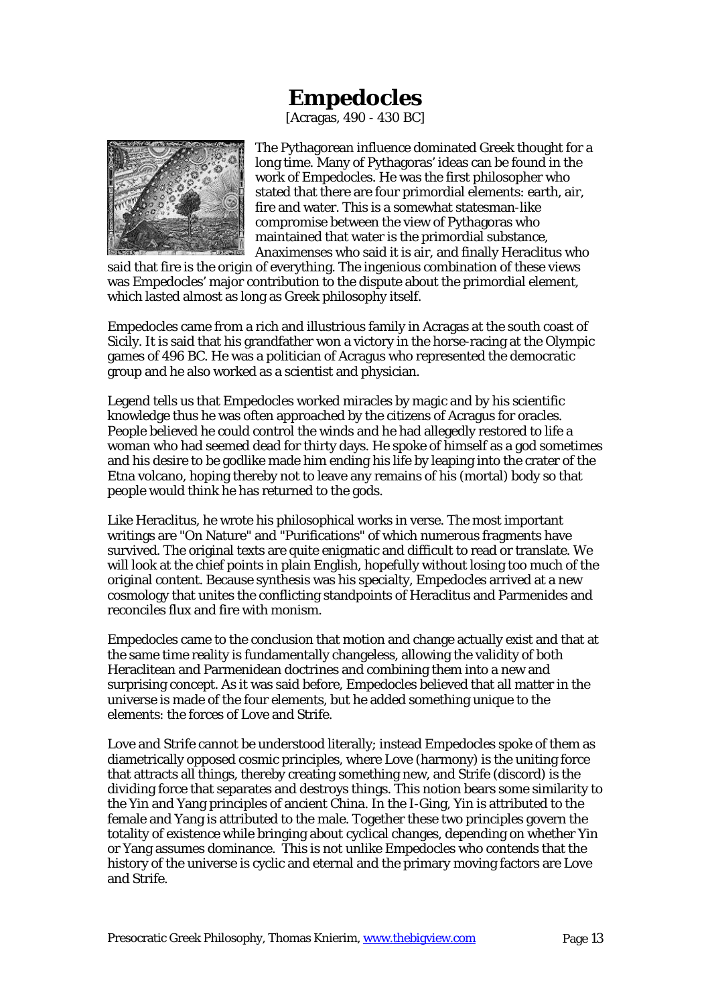# **Empedocles**

[Acragas, 490 - 430 BC]



The Pythagorean influence dominated Greek thought for a long time. Many of Pythagoras' ideas can be found in the work of Empedocles. He was the first philosopher who stated that there are four primordial elements: earth, air, fire and water. This is a somewhat statesman-like compromise between the view of Pythagoras who maintained that water is the primordial substance, Anaximenses who said it is air, and finally Heraclitus who

said that fire is the origin of everything. The ingenious combination of these views was Empedocles' major contribution to the dispute about the primordial element, which lasted almost as long as Greek philosophy itself.

Empedocles came from a rich and illustrious family in Acragas at the south coast of Sicily. It is said that his grandfather won a victory in the horse-racing at the Olympic games of 496 BC. He was a politician of Acragus who represented the democratic group and he also worked as a scientist and physician.

Legend tells us that Empedocles worked miracles by magic and by his scientific knowledge thus he was often approached by the citizens of Acragus for oracles. People believed he could control the winds and he had allegedly restored to life a woman who had seemed dead for thirty days. He spoke of himself as a god sometimes and his desire to be godlike made him ending his life by leaping into the crater of the Etna volcano, hoping thereby not to leave any remains of his (mortal) body so that people would think he has returned to the gods.

Like Heraclitus, he wrote his philosophical works in verse. The most important writings are "On Nature" and "Purifications" of which numerous fragments have survived. The original texts are quite enigmatic and difficult to read or translate. We will look at the chief points in plain English, hopefully without losing too much of the original content. Because synthesis was his specialty, Empedocles arrived at a new cosmology that unites the conflicting standpoints of Heraclitus and Parmenides and reconciles flux and fire with monism.

Empedocles came to the conclusion that motion and change actually exist and that at the same time reality is fundamentally changeless, allowing the validity of both Heraclitean and Parmenidean doctrines and combining them into a new and surprising concept. As it was said before, Empedocles believed that all matter in the universe is made of the four elements, but he added something unique to the elements: the forces of Love and Strife.

Love and Strife cannot be understood literally; instead Empedocles spoke of them as diametrically opposed cosmic principles, where Love (harmony) is the uniting force that attracts all things, thereby creating something new, and Strife (discord) is the dividing force that separates and destroys things. This notion bears some similarity to the Yin and Yang principles of ancient China. In the I-Ging, Yin is attributed to the female and Yang is attributed to the male. Together these two principles govern the totality of existence while bringing about cyclical changes, depending on whether Yin or Yang assumes dominance. This is not unlike Empedocles who contends that the history of the universe is cyclic and eternal and the primary moving factors are Love and Strife.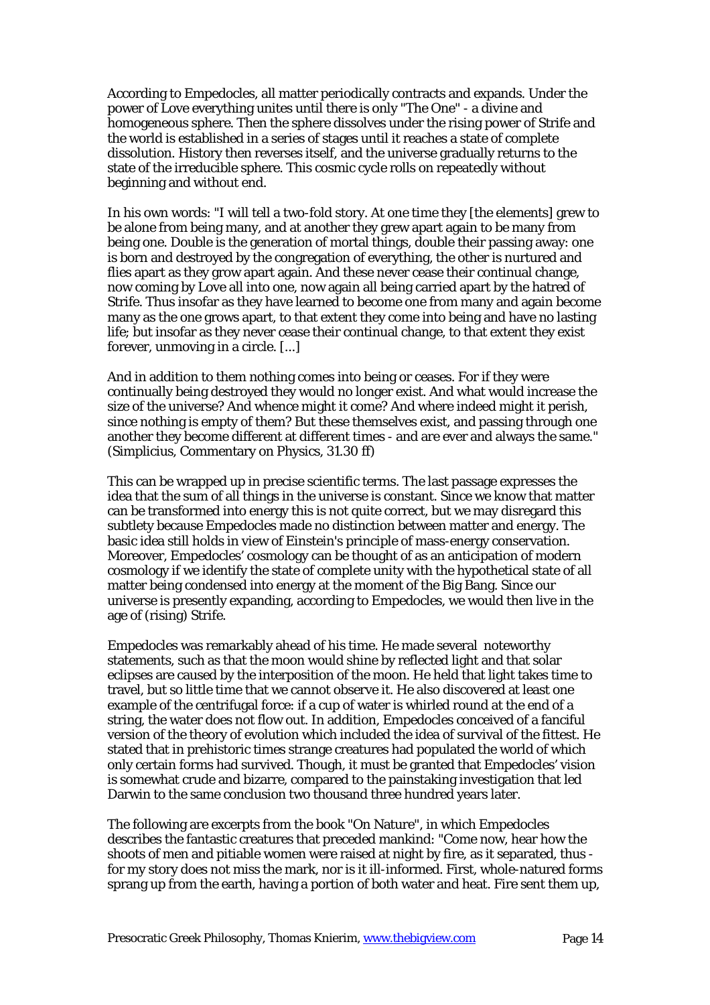According to Empedocles, all matter periodically contracts and expands. Under the power of Love everything unites until there is only "The One" - a divine and homogeneous sphere. Then the sphere dissolves under the rising power of Strife and the world is established in a series of stages until it reaches a state of complete dissolution. History then reverses itself, and the universe gradually returns to the state of the irreducible sphere. This cosmic cycle rolls on repeatedly without beginning and without end.

In his own words: "I will tell a two-fold story. At one time they [the elements] grew to be alone from being many, and at another they grew apart again to be many from being one. Double is the generation of mortal things, double their passing away: one is born and destroyed by the congregation of everything, the other is nurtured and flies apart as they grow apart again. And these never cease their continual change, now coming by Love all into one, now again all being carried apart by the hatred of Strife. Thus insofar as they have learned to become one from many and again become many as the one grows apart, to that extent they come into being and have no lasting life; but insofar as they never cease their continual change, to that extent they exist forever, unmoving in a circle. [...]

And in addition to them nothing comes into being or ceases. For if they were continually being destroyed they would no longer exist. And what would increase the size of the universe? And whence might it come? And where indeed might it perish, since nothing is empty of them? But these themselves exist, and passing through one another they become different at different times - and are ever and always the same." (Simplicius, Commentary on Physics, 31.30 ff)

This can be wrapped up in precise scientific terms. The last passage expresses the idea that the sum of all things in the universe is constant. Since we know that matter can be transformed into energy this is not quite correct, but we may disregard this subtlety because Empedocles made no distinction between matter and energy. The basic idea still holds in view of Einstein's principle of mass-energy conservation. Moreover, Empedocles' cosmology can be thought of as an anticipation of modern cosmology if we identify the state of complete unity with the hypothetical state of all matter being condensed into energy at the moment of the Big Bang. Since our universe is presently expanding, according to Empedocles, we would then live in the age of (rising) Strife.

Empedocles was remarkably ahead of his time. He made several noteworthy statements, such as that the moon would shine by reflected light and that solar eclipses are caused by the interposition of the moon. He held that light takes time to travel, but so little time that we cannot observe it. He also discovered at least one example of the centrifugal force: if a cup of water is whirled round at the end of a string, the water does not flow out. In addition, Empedocles conceived of a fanciful version of the theory of evolution which included the idea of survival of the fittest. He stated that in prehistoric times strange creatures had populated the world of which only certain forms had survived. Though, it must be granted that Empedocles' vision is somewhat crude and bizarre, compared to the painstaking investigation that led Darwin to the same conclusion two thousand three hundred years later.

The following are excerpts from the book "On Nature", in which Empedocles describes the fantastic creatures that preceded mankind: "Come now, hear how the shoots of men and pitiable women were raised at night by fire, as it separated, thus for my story does not miss the mark, nor is it ill-informed. First, whole-natured forms sprang up from the earth, having a portion of both water and heat. Fire sent them up,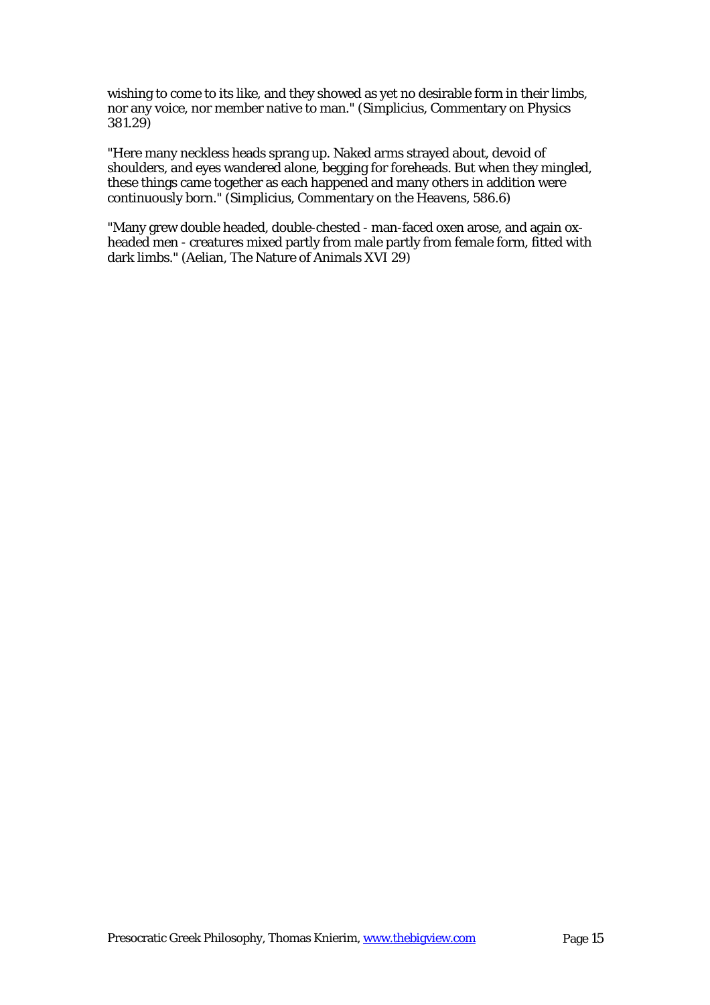wishing to come to its like, and they showed as yet no desirable form in their limbs, nor any voice, nor member native to man." (Simplicius, Commentary on Physics 381.29)

"Here many neckless heads sprang up. Naked arms strayed about, devoid of shoulders, and eyes wandered alone, begging for foreheads. But when they mingled, these things came together as each happened and many others in addition were continuously born." (Simplicius, Commentary on the Heavens, 586.6)

"Many grew double headed, double-chested - man-faced oxen arose, and again oxheaded men - creatures mixed partly from male partly from female form, fitted with dark limbs." (Aelian, The Nature of Animals XVI 29)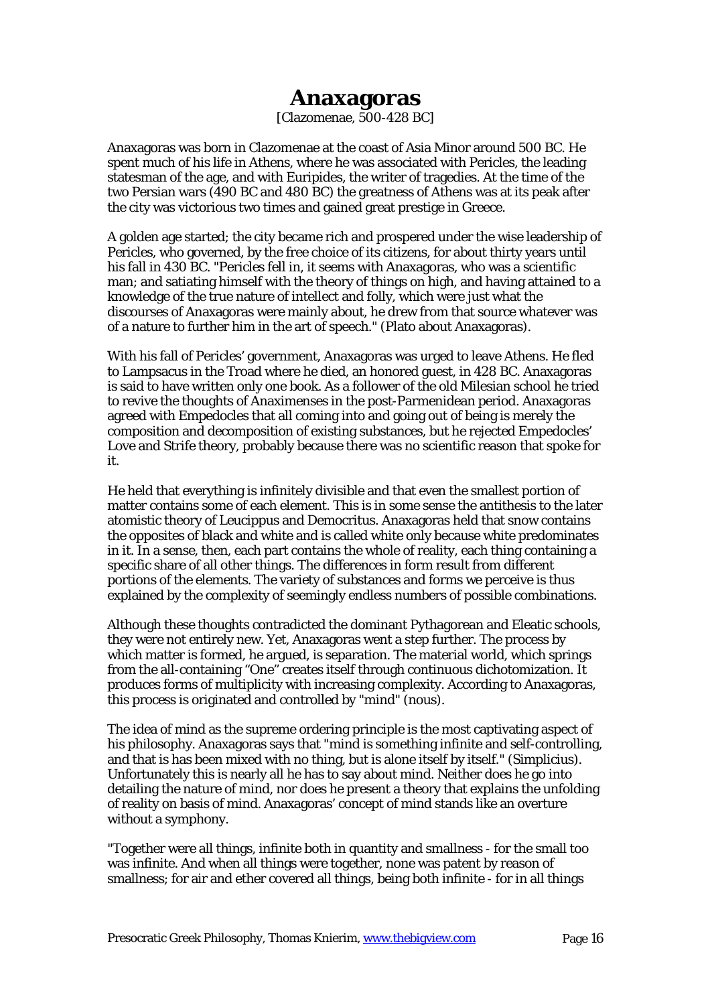#### **Anaxagoras**

[Clazomenae, 500-428 BC]

Anaxagoras was born in Clazomenae at the coast of Asia Minor around 500 BC. He spent much of his life in Athens, where he was associated with Pericles, the leading statesman of the age, and with Euripides, the writer of tragedies. At the time of the two Persian wars (490 BC and 480 BC) the greatness of Athens was at its peak after the city was victorious two times and gained great prestige in Greece.

A golden age started; the city became rich and prospered under the wise leadership of Pericles, who governed, by the free choice of its citizens, for about thirty years until his fall in 430 BC. "Pericles fell in, it seems with Anaxagoras, who was a scientific man; and satiating himself with the theory of things on high, and having attained to a knowledge of the true nature of intellect and folly, which were just what the discourses of Anaxagoras were mainly about, he drew from that source whatever was of a nature to further him in the art of speech." (Plato about Anaxagoras).

With his fall of Pericles' government, Anaxagoras was urged to leave Athens. He fled to Lampsacus in the Troad where he died, an honored guest, in 428 BC. Anaxagoras is said to have written only one book. As a follower of the old Milesian school he tried to revive the thoughts of Anaximenses in the post-Parmenidean period. Anaxagoras agreed with Empedocles that all coming into and going out of being is merely the composition and decomposition of existing substances, but he rejected Empedocles' Love and Strife theory, probably because there was no scientific reason that spoke for it.

He held that everything is infinitely divisible and that even the smallest portion of matter contains some of each element. This is in some sense the antithesis to the later atomistic theory of Leucippus and Democritus. Anaxagoras held that snow contains the opposites of black and white and is called white only because white predominates in it. In a sense, then, each part contains the whole of reality, each thing containing a specific share of all other things. The differences in form result from different portions of the elements. The variety of substances and forms we perceive is thus explained by the complexity of seemingly endless numbers of possible combinations.

Although these thoughts contradicted the dominant Pythagorean and Eleatic schools, they were not entirely new. Yet, Anaxagoras went a step further. The process by which matter is formed, he argued, is separation. The material world, which springs from the all-containing "One" creates itself through continuous dichotomization. It produces forms of multiplicity with increasing complexity. According to Anaxagoras, this process is originated and controlled by "mind" (nous).

The idea of mind as the supreme ordering principle is the most captivating aspect of his philosophy. Anaxagoras says that "mind is something infinite and self-controlling, and that is has been mixed with no thing, but is alone itself by itself." (Simplicius). Unfortunately this is nearly all he has to say about mind. Neither does he go into detailing the nature of mind, nor does he present a theory that explains the unfolding of reality on basis of mind. Anaxagoras' concept of mind stands like an overture without a symphony.

"Together were all things, infinite both in quantity and smallness - for the small too was infinite. And when all things were together, none was patent by reason of smallness; for air and ether covered all things, being both infinite - for in all things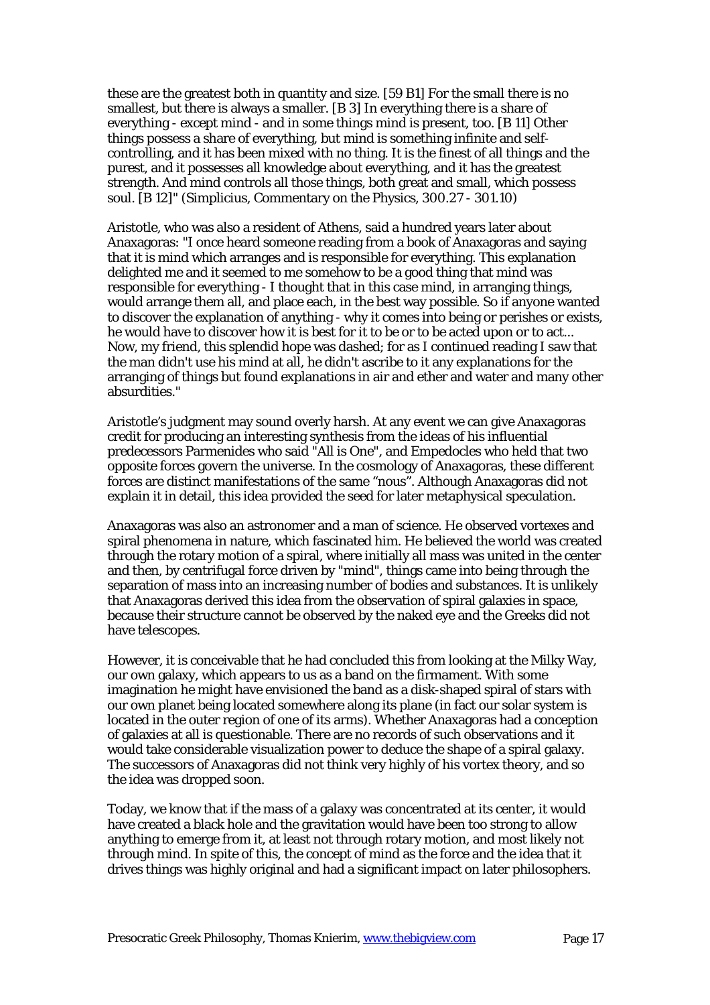these are the greatest both in quantity and size. [59 B1] For the small there is no smallest, but there is always a smaller. [B 3] In everything there is a share of everything - except mind - and in some things mind is present, too. [B 11] Other things possess a share of everything, but mind is something infinite and selfcontrolling, and it has been mixed with no thing. It is the finest of all things and the purest, and it possesses all knowledge about everything, and it has the greatest strength. And mind controls all those things, both great and small, which possess soul. [B 12]" (Simplicius, Commentary on the Physics, 300.27 - 301.10)

Aristotle, who was also a resident of Athens, said a hundred years later about Anaxagoras: "I once heard someone reading from a book of Anaxagoras and saying that it is mind which arranges and is responsible for everything. This explanation delighted me and it seemed to me somehow to be a good thing that mind was responsible for everything - I thought that in this case mind, in arranging things, would arrange them all, and place each, in the best way possible. So if anyone wanted to discover the explanation of anything - why it comes into being or perishes or exists, he would have to discover how it is best for it to be or to be acted upon or to act... Now, my friend, this splendid hope was dashed; for as I continued reading I saw that the man didn't use his mind at all, he didn't ascribe to it any explanations for the arranging of things but found explanations in air and ether and water and many other absurdities."

Aristotle's judgment may sound overly harsh. At any event we can give Anaxagoras credit for producing an interesting synthesis from the ideas of his influential predecessors Parmenides who said "All is One", and Empedocles who held that two opposite forces govern the universe. In the cosmology of Anaxagoras, these different forces are distinct manifestations of the same "nous". Although Anaxagoras did not explain it in detail, this idea provided the seed for later metaphysical speculation.

Anaxagoras was also an astronomer and a man of science. He observed vortexes and spiral phenomena in nature, which fascinated him. He believed the world was created through the rotary motion of a spiral, where initially all mass was united in the center and then, by centrifugal force driven by "mind", things came into being through the separation of mass into an increasing number of bodies and substances. It is unlikely that Anaxagoras derived this idea from the observation of spiral galaxies in space, because their structure cannot be observed by the naked eye and the Greeks did not have telescopes.

However, it is conceivable that he had concluded this from looking at the Milky Way, our own galaxy, which appears to us as a band on the firmament. With some imagination he might have envisioned the band as a disk-shaped spiral of stars with our own planet being located somewhere along its plane (in fact our solar system is located in the outer region of one of its arms). Whether Anaxagoras had a conception of galaxies at all is questionable. There are no records of such observations and it would take considerable visualization power to deduce the shape of a spiral galaxy. The successors of Anaxagoras did not think very highly of his vortex theory, and so the idea was dropped soon.

Today, we know that if the mass of a galaxy was concentrated at its center, it would have created a black hole and the gravitation would have been too strong to allow anything to emerge from it, at least not through rotary motion, and most likely not through mind. In spite of this, the concept of mind as the force and the idea that it drives things was highly original and had a significant impact on later philosophers.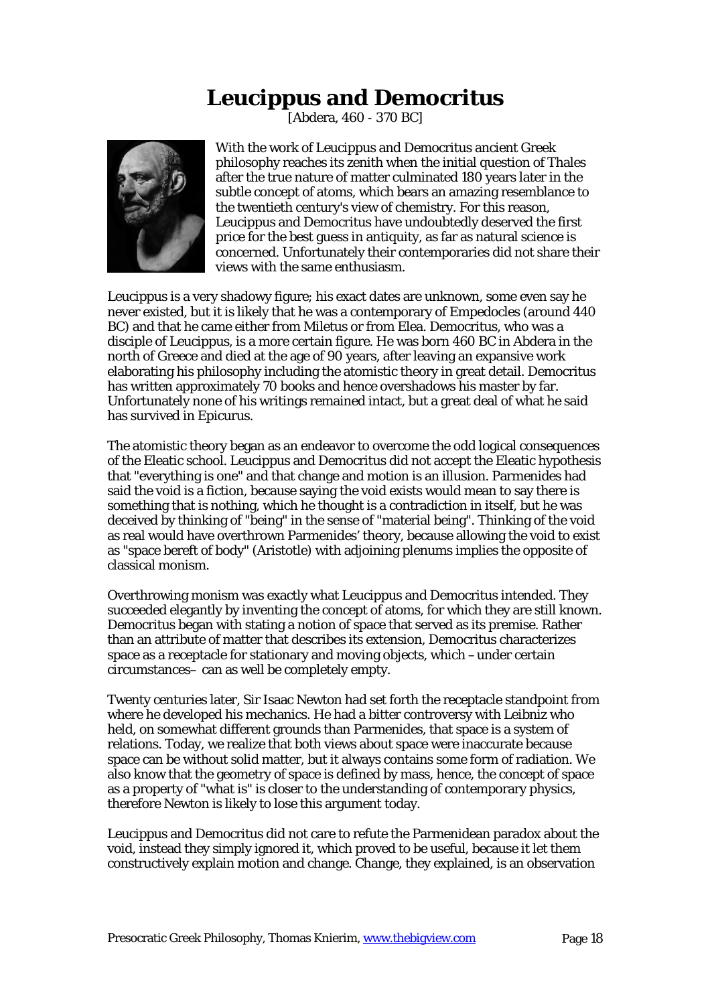# **Leucippus and Democritus**

[Abdera, 460 - 370 BC]



With the work of Leucippus and Democritus ancient Greek philosophy reaches its zenith when the initial question of Thales after the true nature of matter culminated 180 years later in the subtle concept of atoms, which bears an amazing resemblance to the twentieth century's view of chemistry. For this reason, Leucippus and Democritus have undoubtedly deserved the first price for the best guess in antiquity, as far as natural science is concerned. Unfortunately their contemporaries did not share their views with the same enthusiasm.

Leucippus is a very shadowy figure; his exact dates are unknown, some even say he never existed, but it is likely that he was a contemporary of Empedocles (around 440 BC) and that he came either from Miletus or from Elea. Democritus, who was a disciple of Leucippus, is a more certain figure. He was born 460 BC in Abdera in the north of Greece and died at the age of 90 years, after leaving an expansive work elaborating his philosophy including the atomistic theory in great detail. Democritus has written approximately 70 books and hence overshadows his master by far. Unfortunately none of his writings remained intact, but a great deal of what he said has survived in Epicurus.

The atomistic theory began as an endeavor to overcome the odd logical consequences of the Eleatic school. Leucippus and Democritus did not accept the Eleatic hypothesis that "everything is one" and that change and motion is an illusion. Parmenides had said the void is a fiction, because saying the void exists would mean to say there is something that is nothing, which he thought is a contradiction in itself, but he was deceived by thinking of "being" in the sense of "material being". Thinking of the void as real would have overthrown Parmenides' theory, because allowing the void to exist as "space bereft of body" (Aristotle) with adjoining plenums implies the opposite of classical monism.

Overthrowing monism was exactly what Leucippus and Democritus intended. They succeeded elegantly by inventing the concept of atoms, for which they are still known. Democritus began with stating a notion of space that served as its premise. Rather than an attribute of matter that describes its extension, Democritus characterizes space as a receptacle for stationary and moving objects, which –under certain circumstances– can as well be completely empty.

Twenty centuries later, Sir Isaac Newton had set forth the receptacle standpoint from where he developed his mechanics. He had a bitter controversy with Leibniz who held, on somewhat different grounds than Parmenides, that space is a system of relations. Today, we realize that both views about space were inaccurate because space can be without solid matter, but it always contains some form of radiation. We also know that the geometry of space is defined by mass, hence, the concept of space as a property of "what is" is closer to the understanding of contemporary physics, therefore Newton is likely to lose this argument today.

Leucippus and Democritus did not care to refute the Parmenidean paradox about the void, instead they simply ignored it, which proved to be useful, because it let them constructively explain motion and change. Change, they explained, is an observation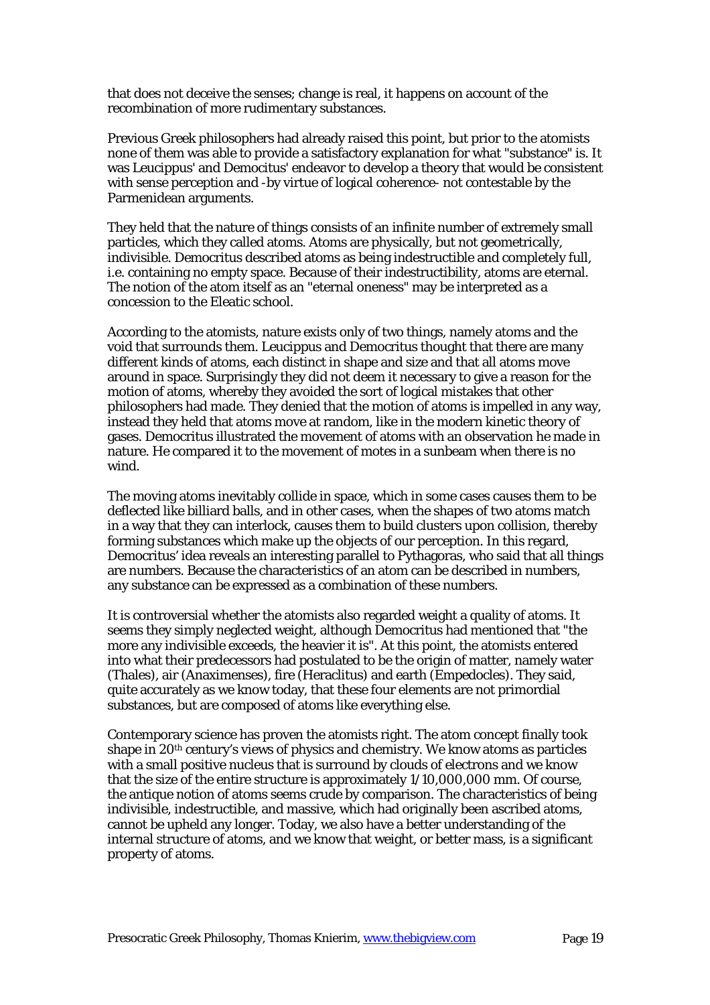that does not deceive the senses; change is real, it happens on account of the recombination of more rudimentary substances.

Previous Greek philosophers had already raised this point, but prior to the atomists none of them was able to provide a satisfactory explanation for what "substance" is. It was Leucippus' and Democitus' endeavor to develop a theory that would be consistent with sense perception and -by virtue of logical coherence- not contestable by the Parmenidean arguments.

They held that the nature of things consists of an infinite number of extremely small particles, which they called atoms. Atoms are physically, but not geometrically, indivisible. Democritus described atoms as being indestructible and completely full, i.e. containing no empty space. Because of their indestructibility, atoms are eternal. The notion of the atom itself as an "eternal oneness" may be interpreted as a concession to the Eleatic school.

According to the atomists, nature exists only of two things, namely atoms and the void that surrounds them. Leucippus and Democritus thought that there are many different kinds of atoms, each distinct in shape and size and that all atoms move around in space. Surprisingly they did not deem it necessary to give a reason for the motion of atoms, whereby they avoided the sort of logical mistakes that other philosophers had made. They denied that the motion of atoms is impelled in any way, instead they held that atoms move at random, like in the modern kinetic theory of gases. Democritus illustrated the movement of atoms with an observation he made in nature. He compared it to the movement of motes in a sunbeam when there is no wind.

The moving atoms inevitably collide in space, which in some cases causes them to be deflected like billiard balls, and in other cases, when the shapes of two atoms match in a way that they can interlock, causes them to build clusters upon collision, thereby forming substances which make up the objects of our perception. In this regard, Democritus' idea reveals an interesting parallel to Pythagoras, who said that all things are numbers. Because the characteristics of an atom can be described in numbers, any substance can be expressed as a combination of these numbers.

It is controversial whether the atomists also regarded weight a quality of atoms. It seems they simply neglected weight, although Democritus had mentioned that "the more any indivisible exceeds, the heavier it is". At this point, the atomists entered into what their predecessors had postulated to be the origin of matter, namely water (Thales), air (Anaximenses), fire (Heraclitus) and earth (Empedocles). They said, quite accurately as we know today, that these four elements are not primordial substances, but are composed of atoms like everything else.

Contemporary science has proven the atomists right. The atom concept finally took shape in 20th century's views of physics and chemistry. We know atoms as particles with a small positive nucleus that is surround by clouds of electrons and we know that the size of the entire structure is approximately 1/10,000,000 mm. Of course, the antique notion of atoms seems crude by comparison. The characteristics of being indivisible, indestructible, and massive, which had originally been ascribed atoms, cannot be upheld any longer. Today, we also have a better understanding of the internal structure of atoms, and we know that weight, or better mass, is a significant property of atoms.